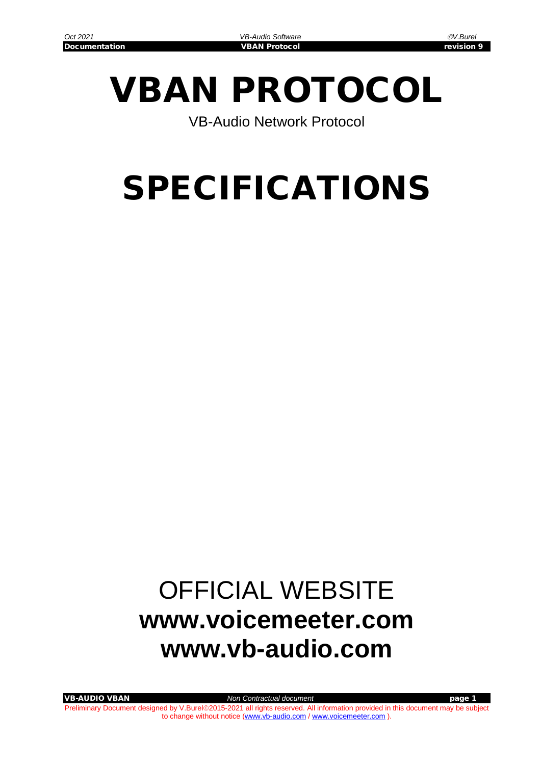# VBAN PROTOCOL

VB-Audio Network Protocol

# SPECIFICATIONS

## OFFICIAL WEBSITE **[www.voicemeeter.com](http://www.voicemeeter.com/) www.vb-audio.com**

VB-AUDIO VBAN *Non Contractual document* page 1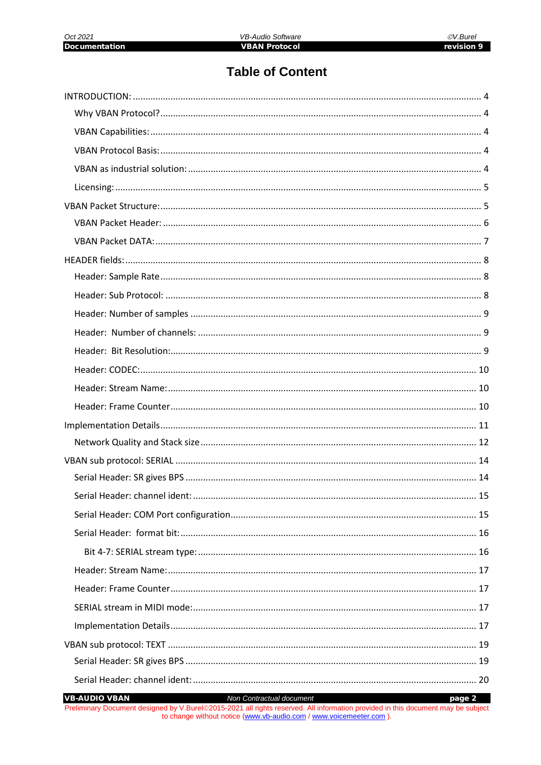## **Table of Content**

**VB-AUDIO VBAN** Non Contractual document page 2 Preliminary Document designed by V.Burel@2015-2021 all rights reserved. All information provided in this document may be subject to change without notice (www.vb-audio.com / www.voicemeeter.com).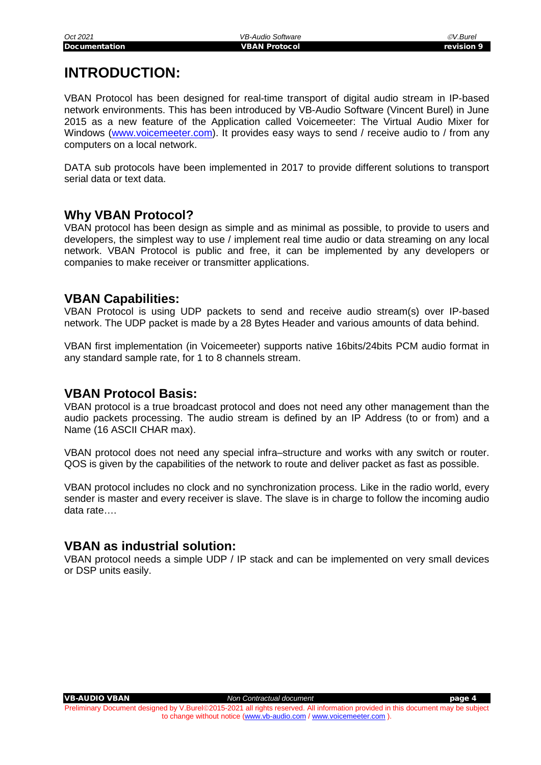## <span id="page-3-0"></span>**INTRODUCTION:**

VBAN Protocol has been designed for real-time transport of digital audio stream in IP-based network environments. This has been introduced by VB-Audio Software (Vincent Burel) in June 2015 as a new feature of the Application called Voicemeeter: The Virtual Audio Mixer for Windows [\(www.voicemeeter.com\)](http://www.voicemeeter.com/). It provides easy ways to send / receive audio to / from any computers on a local network.

DATA sub protocols have been implemented in 2017 to provide different solutions to transport serial data or text data.

#### <span id="page-3-1"></span>**Why VBAN Protocol?**

VBAN protocol has been design as simple and as minimal as possible, to provide to users and developers, the simplest way to use / implement real time audio or data streaming on any local network. VBAN Protocol is public and free, it can be implemented by any developers or companies to make receiver or transmitter applications.

#### <span id="page-3-2"></span>**VBAN Capabilities:**

VBAN Protocol is using UDP packets to send and receive audio stream(s) over IP-based network. The UDP packet is made by a 28 Bytes Header and various amounts of data behind.

VBAN first implementation (in Voicemeeter) supports native 16bits/24bits PCM audio format in any standard sample rate, for 1 to 8 channels stream.

### <span id="page-3-3"></span>**VBAN Protocol Basis:**

VBAN protocol is a true broadcast protocol and does not need any other management than the audio packets processing. The audio stream is defined by an IP Address (to or from) and a Name (16 ASCII CHAR max).

VBAN protocol does not need any special infra–structure and works with any switch or router. QOS is given by the capabilities of the network to route and deliver packet as fast as possible.

VBAN protocol includes no clock and no synchronization process. Like in the radio world, every sender is master and every receiver is slave. The slave is in charge to follow the incoming audio data rate….

#### <span id="page-3-4"></span>**VBAN as industrial solution:**

VBAN protocol needs a simple UDP / IP stack and can be implemented on very small devices or DSP units easily.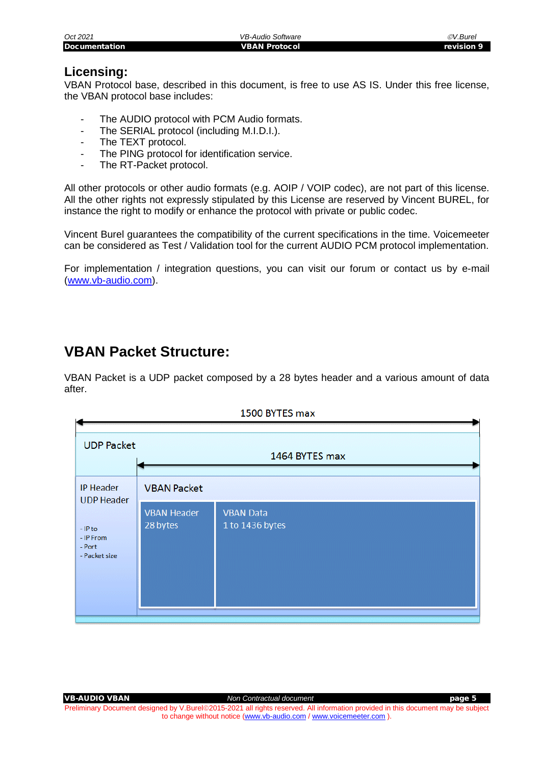| Oct 2021             | VB-Audio Software    | ©V.Burel   |
|----------------------|----------------------|------------|
| <b>Documentation</b> | <b>VBAN Protocol</b> | revision 9 |
|                      |                      |            |
|                      |                      |            |

#### <span id="page-4-0"></span>**Licensing:**

VBAN Protocol base, described in this document, is free to use AS IS. Under this free license, the VBAN protocol base includes:

- The AUDIO protocol with PCM Audio formats.
- The SERIAL protocol (including M.I.D.I.).
- The TEXT protocol.
- The PING protocol for identification service.
- The RT-Packet protocol.

All other protocols or other audio formats (e.g. AOIP / VOIP codec), are not part of this license. All the other rights not expressly stipulated by this License are reserved by Vincent BUREL, for instance the right to modify or enhance the protocol with private or public codec.

Vincent Burel guarantees the compatibility of the current specifications in the time. Voicemeeter can be considered as Test / Validation tool for the current AUDIO PCM protocol implementation.

For implementation / integration questions, you can visit our forum or contact us by e-mail [\(www.vb-audio.com\)](http://www.vb-audio.com/).

## <span id="page-4-1"></span>**VBAN Packet Structure:**

VBAN Packet is a UDP packet composed by a 28 bytes header and a various amount of data after.

|                                                   |                                | <b>TOOD BELES IN A</b>              |  |  |  |  |  |
|---------------------------------------------------|--------------------------------|-------------------------------------|--|--|--|--|--|
| <b>UDP Packet</b><br>1464 BYTES max               |                                |                                     |  |  |  |  |  |
| <b>IP Header</b><br><b>UDP Header</b>             | <b>VBAN Packet</b>             |                                     |  |  |  |  |  |
| $-$ IP to<br>- IP From<br>- Port<br>- Packet size | <b>VBAN Header</b><br>28 bytes | <b>VBAN Data</b><br>1 to 1436 bytes |  |  |  |  |  |



VB-AUDIO VBAN *Non Contractual document* page 5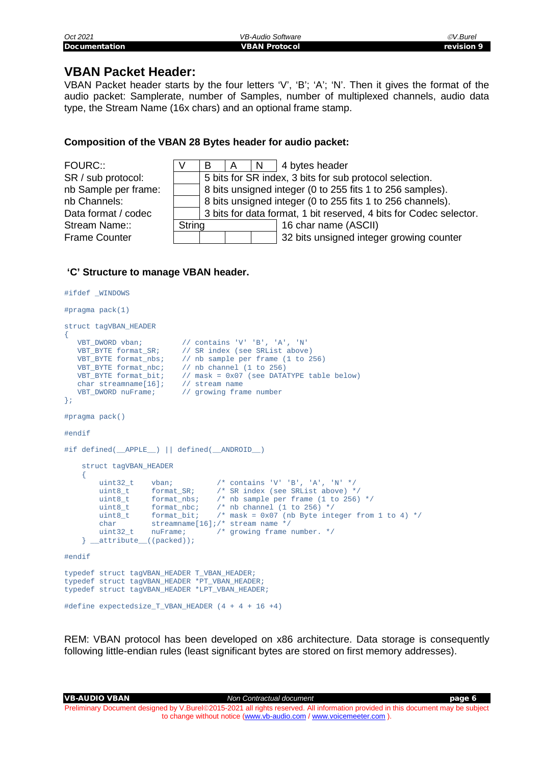| Oct 2021             | VB-Audio Software    | ©V.Burel   |
|----------------------|----------------------|------------|
| <b>Documentation</b> | <b>VBAN Protocol</b> | revision 9 |

#### <span id="page-5-0"></span>**VBAN Packet Header:**

VBAN Packet header starts by the four letters 'V', 'B'; 'A'; 'N'. Then it gives the format of the audio packet: Samplerate, number of Samples, number of multiplexed channels, audio data type, the Stream Name (16x chars) and an optional frame stamp.

#### **Composition of the VBAN 28 Bytes header for audio packet:**

| FOURC::              |        | В                                                                  | A | N | 4 bytes header                                            |  |  |
|----------------------|--------|--------------------------------------------------------------------|---|---|-----------------------------------------------------------|--|--|
| SR / sub protocol:   |        | 5 bits for SR index, 3 bits for sub protocol selection.            |   |   |                                                           |  |  |
| nb Sample per frame: |        |                                                                    |   |   | 8 bits unsigned integer (0 to 255 fits 1 to 256 samples). |  |  |
| nb Channels:         |        | 8 bits unsigned integer (0 to 255 fits 1 to 256 channels).         |   |   |                                                           |  |  |
| Data format / codec  |        | 3 bits for data format, 1 bit reserved, 4 bits for Codec selector. |   |   |                                                           |  |  |
| Stream Name::        | String |                                                                    |   |   | 16 char name (ASCII)                                      |  |  |
| <b>Frame Counter</b> |        |                                                                    |   |   | 32 bits unsigned integer growing counter                  |  |  |

#### **'C' Structure to manage VBAN header.**

```
#ifdef _WINDOWS
#pragma pack(1)
struct tagVBAN_HEADER 
\{ VBT_DWORD vban; // contains 'V' 'B', 'A', 'N'
 VBT_BYTE format_SR; // SR index (see SRList above) 
 VBT_BYTE format_nbs; // nb sample per frame (1 to 256) 
 VBT_BYTE format_nbc; // nb channel (1 to 256)
 VBT_BYTE format_bit; // mask = 0x07 (see DATATYPE table below)
 char streamname[16]; // stream name
 VBT_DWORD nuFrame; // growing frame number
};
#pragma pack()
#endif
#if defined(__APPLE__) || defined(__ANDROID__)
    struct tagVBAN_HEADER
    {
 uint32_t vban; /* contains 'V' 'B', 'A', 'N' */
 uint8_t format_SR; /* SR index (see SRList above) */
 uint8_t format_nbs; /* nb sample per frame (1 to 256) */
 uint8_t format_nbc; /* nb channel (1 to 256) */
 uint8_t format_bit; /* mask = 0x07 (nb Byte integer from 1 to 4) */
 char streamname[16];/* stream name */
 uint32_t nuFrame; /* growing frame number. */
   } __attribute_((packed));
#endif
typedef struct tagVBAN_HEADER T_VBAN_HEADER;
typedef struct tagVBAN_HEADER *PT_VBAN_HEADER;
typedef struct tagVBAN HEADER *LPT VBAN HEADER;
#define expectedsize_T_VBAN_HEADER (4 + 4 + 16 +4)
```
REM: VBAN protocol has been developed on x86 architecture. Data storage is consequently following little-endian rules (least significant bytes are stored on first memory addresses).

VB-AUDIO VBAN *Non Contractual document* page 6 Preliminary Document designed by V.Burel@2015-2021 all rights reserved. All information provided in this document may be subject to change without notice [\(www.vb-audio.com](http://www.vb-audio.com/) [/ www.voicemeeter.com](http://www.voicemeeter.com/) ).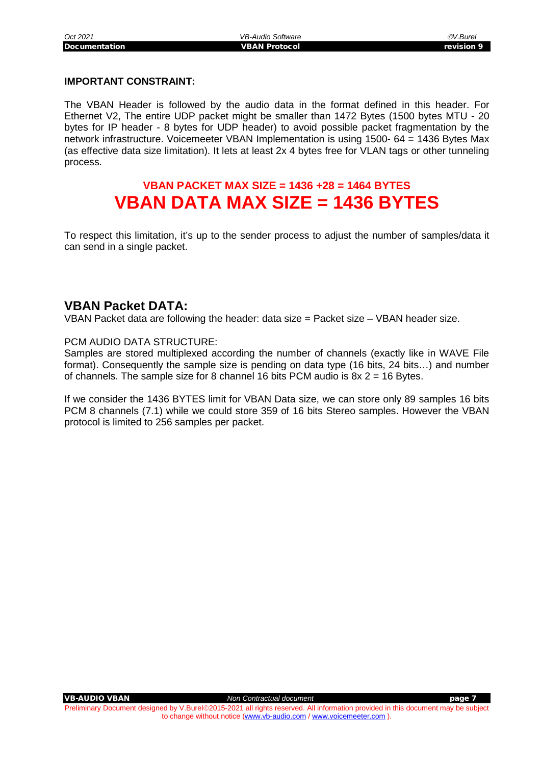#### **IMPORTANT CONSTRAINT:**

The VBAN Header is followed by the audio data in the format defined in this header. For Ethernet V2, The entire UDP packet might be smaller than 1472 Bytes (1500 bytes MTU - 20 bytes for IP header - 8 bytes for UDP header) to avoid possible packet fragmentation by the network infrastructure. Voicemeeter VBAN Implementation is using 1500- 64 = 1436 Bytes Max (as effective data size limitation). It lets at least 2x 4 bytes free for VLAN tags or other tunneling process.

## **VBAN PACKET MAX SIZE = 1436 +28 = 1464 BYTES VBAN DATA MAX SIZE = 1436 BYTES**

To respect this limitation, it's up to the sender process to adjust the number of samples/data it can send in a single packet.

#### <span id="page-6-0"></span>**VBAN Packet DATA:**

VBAN Packet data are following the header: data size = Packet size – VBAN header size.

#### PCM AUDIO DATA STRUCTURE:

Samples are stored multiplexed according the number of channels (exactly like in WAVE File format). Consequently the sample size is pending on data type (16 bits, 24 bits…) and number of channels. The sample size for 8 channel 16 bits PCM audio is  $8x 2 = 16$  Bytes.

If we consider the 1436 BYTES limit for VBAN Data size, we can store only 89 samples 16 bits PCM 8 channels (7.1) while we could store 359 of 16 bits Stereo samples. However the VBAN protocol is limited to 256 samples per packet.

VB-AUDIO VBAN *Non Contractual document* page 7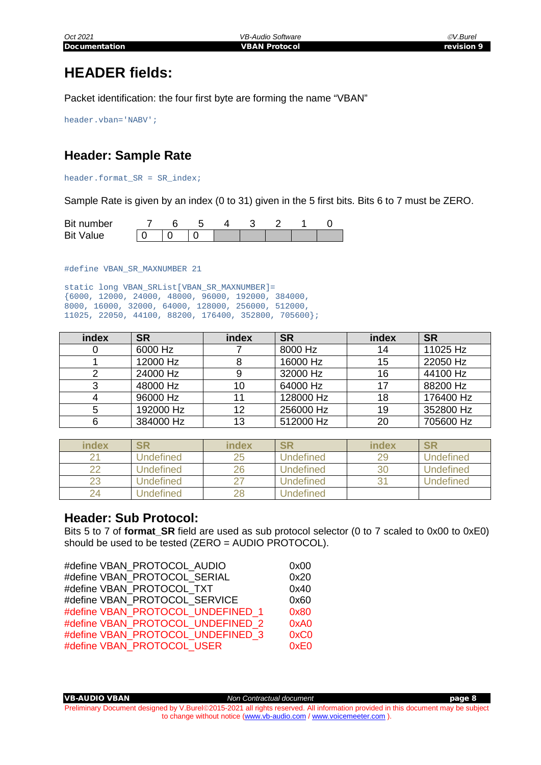## <span id="page-7-0"></span>**HEADER fields:**

Packet identification: the four first byte are forming the name "VBAN"

header.vban='NABV';

## <span id="page-7-1"></span>**Header: Sample Rate**

header.format\_SR = SR\_index;

Sample Rate is given by an index (0 to 31) given in the 5 first bits. Bits 6 to 7 must be ZERO.

| Bit number       |  |  |  |  |
|------------------|--|--|--|--|
| <b>Bit Value</b> |  |  |  |  |

#define VBAN\_SR\_MAXNUMBER 21

static long VBAN\_SRList[VBAN\_SR\_MAXNUMBER]= {6000, 12000, 24000, 48000, 96000, 192000, 384000, 8000, 16000, 32000, 64000, 128000, 256000, 512000, 11025, 22050, 44100, 88200, 176400, 352800, 705600};

| index | <b>SR</b> | index | <b>SR</b> | index | <b>SR</b> |
|-------|-----------|-------|-----------|-------|-----------|
|       | 6000 Hz   |       | 8000 Hz   | 14    | 11025 Hz  |
|       | 12000 Hz  |       | 16000 Hz  | 15    | 22050 Hz  |
|       | 24000 Hz  |       | 32000 Hz  | 16    | 44100 Hz  |
|       | 48000 Hz  | 10    | 64000 Hz  | 17    | 88200 Hz  |
|       | 96000 Hz  |       | 128000 Hz | 18    | 176400 Hz |
| 5     | 192000 Hz | 12    | 256000 Hz | 19    | 352800 Hz |
|       | 384000 Hz | 13    | 512000 Hz | 20    | 705600 Hz |

| index | SR               | index | SR               | index | SR               |
|-------|------------------|-------|------------------|-------|------------------|
|       | Undefined        | 25    | <b>Undefined</b> | 29    | Undefined        |
| ົດ    | <b>Jndefined</b> | 26    | Undefined        | 30    | <b>Undefined</b> |
| 23    | Undefined        |       | <b>Undefined</b> |       | <b>Undefined</b> |
| 24    | <b>Jndefined</b> | 28    | Undefined        |       |                  |

#### <span id="page-7-2"></span>**Header: Sub Protocol:**

Bits 5 to 7 of **format\_SR** field are used as sub protocol selector (0 to 7 scaled to 0x00 to 0xE0) should be used to be tested (ZERO = AUDIO PROTOCOL).

| #define VBAN PROTOCOL AUDIO       | 0x00 |
|-----------------------------------|------|
|                                   |      |
| #define VBAN PROTOCOL SERIAL      | 0x20 |
| #define VBAN PROTOCOL TXT         | 0x40 |
| #define VBAN PROTOCOL SERVICE     | 0x60 |
| #define VBAN PROTOCOL UNDEFINED 1 | 0x80 |
| #define VBAN PROTOCOL UNDEFINED 2 | 0xA0 |
| #define VBAN PROTOCOL UNDEFINED 3 | 0xC0 |
| #define VBAN PROTOCOL USER        | 0xE0 |
|                                   |      |

VB-AUDIO VBAN *Non Contractual document* page 8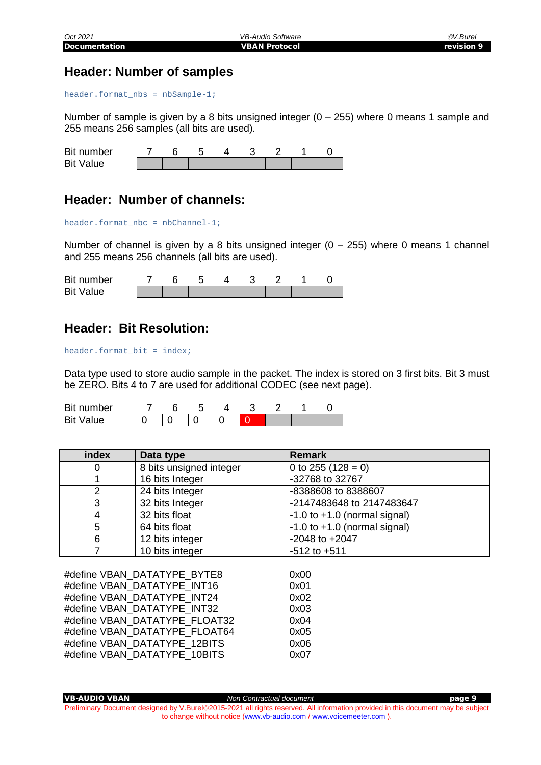#### <span id="page-8-0"></span>**Header: Number of samples**

header.format\_nbs = nbSample-1;

Number of sample is given by a 8 bits unsigned integer  $(0 - 255)$  where 0 means 1 sample and 255 means 256 samples (all bits are used).

| Bit number       |  |  |  |  |
|------------------|--|--|--|--|
| <b>Bit Value</b> |  |  |  |  |

#### <span id="page-8-1"></span>**Header: Number of channels:**

header.format\_nbc = nbChannel-1;

Number of channel is given by a 8 bits unsigned integer  $(0 - 255)$  where 0 means 1 channel and 255 means 256 channels (all bits are used).

| Bit number       |  |  |  |  |
|------------------|--|--|--|--|
| <b>Bit Value</b> |  |  |  |  |

#### <span id="page-8-2"></span>**Header: Bit Resolution:**

header.format\_bit = index;

Data type used to store audio sample in the packet. The index is stored on 3 first bits. Bit 3 must be ZERO. Bits 4 to 7 are used for additional CODEC (see next page).

| Bit number       |  |  |  |  |
|------------------|--|--|--|--|
| <b>Bit Value</b> |  |  |  |  |

| index | Data type               | <b>Remark</b>                    |
|-------|-------------------------|----------------------------------|
| 0     | 8 bits unsigned integer | 0 to 255 (128 = 0)               |
|       | 16 bits Integer         | -32768 to 32767                  |
| 2     | 24 bits Integer         | -8388608 to 8388607              |
| 3     | 32 bits Integer         | -2147483648 to 2147483647        |
| 4     | 32 bits float           | $-1.0$ to $+1.0$ (normal signal) |
| 5     | 64 bits float           | $-1.0$ to $+1.0$ (normal signal) |
| 6     | 12 bits integer         | $-2048$ to $+2047$               |
|       | 10 bits integer         | $-512$ to $+511$                 |

#define VBAN\_DATATYPE\_BYTE8 0x00 #define VBAN\_DATATYPE\_INT16 0x01 #define VBAN\_DATATYPE\_INT24 0x02 #define VBAN\_DATATYPE\_INT32 0x03 #define VBAN\_DATATYPE\_FLOAT32 0x04 #define VBAN\_DATATYPE\_FLOAT64 0x05 #define VBAN\_DATATYPE\_12BITS 0x06 #define VBAN\_DATATYPE\_10BITS 0x07

VB-AUDIO VBAN *Non Contractual document* page 9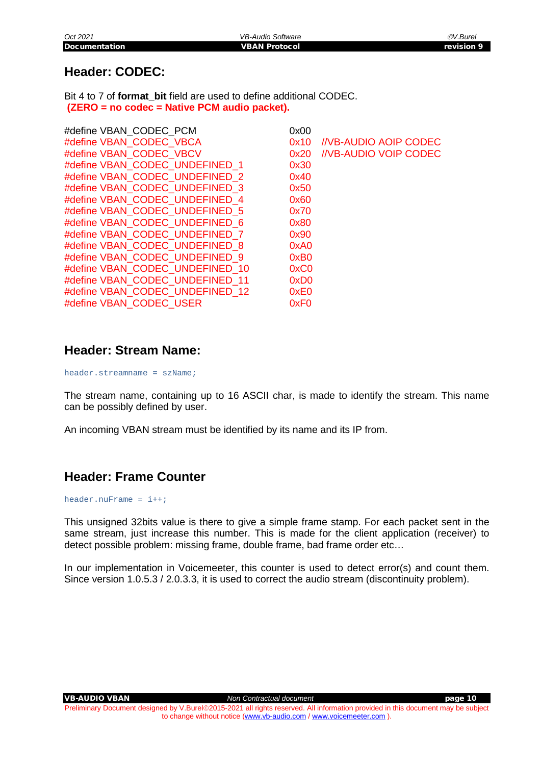## <span id="page-9-0"></span>**Header: CODEC:**

Bit 4 to 7 of **format\_bit** field are used to define additional CODEC. **(ZERO = no codec = Native PCM audio packet).**

| #define VBAN CODEC PCM          | 0x00             |                              |
|---------------------------------|------------------|------------------------------|
| #define VBAN CODEC VBCA         | 0x10             | <b>//VB-AUDIO AOIP CODEC</b> |
| #define VBAN CODEC VBCV         | 0x20             | //VB-AUDIO VOIP CODEC        |
| #define VBAN_CODEC_UNDEFINED 1  | 0x30             |                              |
| #define VBAN CODEC UNDEFINED 2  | 0x40             |                              |
| #define VBAN CODEC UNDEFINED 3  | 0x50             |                              |
| #define VBAN CODEC UNDEFINED 4  | 0x60             |                              |
| #define VBAN CODEC UNDEFINED 5  | 0x70             |                              |
| #define VBAN CODEC UNDEFINED 6  | 0x80             |                              |
| #define VBAN CODEC UNDEFINED 7  | 0x90             |                              |
| #define VBAN CODEC UNDEFINED 8  | 0xA0             |                              |
| #define VBAN CODEC UNDEFINED 9  | 0xB <sub>0</sub> |                              |
| #define VBAN CODEC UNDEFINED 10 | 0xC0             |                              |
| #define VBAN CODEC UNDEFINED 11 | 0xD <sub>0</sub> |                              |
| #define VBAN CODEC UNDEFINED 12 | 0xE0             |                              |
| #define VBAN CODEC USER         | 0xF <sub>0</sub> |                              |

#### <span id="page-9-1"></span>**Header: Stream Name:**

header.streamname = szName;

The stream name, containing up to 16 ASCII char, is made to identify the stream. This name can be possibly defined by user.

An incoming VBAN stream must be identified by its name and its IP from.

## <span id="page-9-2"></span>**Header: Frame Counter**

header.nuFrame =  $i++$ ;

This unsigned 32bits value is there to give a simple frame stamp. For each packet sent in the same stream, just increase this number. This is made for the client application (receiver) to detect possible problem: missing frame, double frame, bad frame order etc…

In our implementation in Voicemeeter, this counter is used to detect error(s) and count them. Since version 1.0.5.3 / 2.0.3.3, it is used to correct the audio stream (discontinuity problem).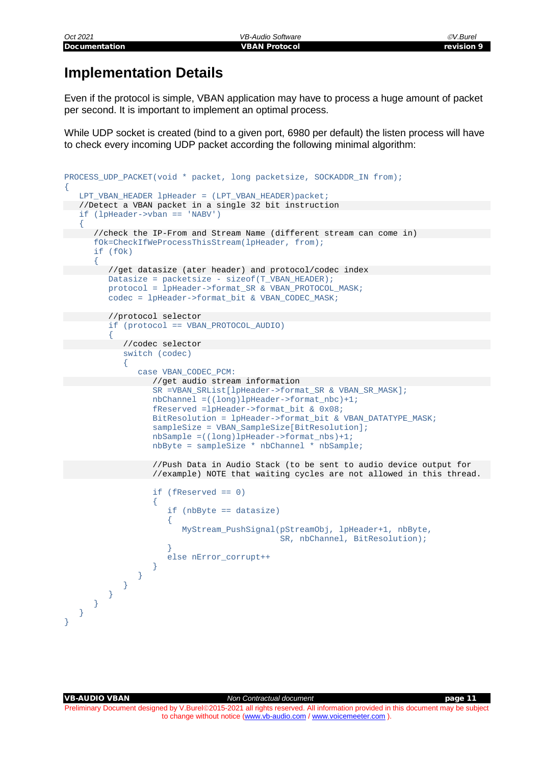## <span id="page-10-0"></span>**Implementation Details**

Even if the protocol is simple, VBAN application may have to process a huge amount of packet per second. It is important to implement an optimal process.

While UDP socket is created (bind to a given port, 6980 per default) the listen process will have to check every incoming UDP packet according the following minimal algorithm:

```
PROCESS_UDP_PACKET(void * packet, long packetsize, SOCKADDR_IN from);
\{LPT_VBAN_HEADER lpHeader = (LPT_VBAN_HEADER)packet;
  //Detect a VBAN packet in a single 32 bit instruction
    if (lpHeader->vban == 'NABV')
\sim {
       //check the IP-From and Stream Name (different stream can come in)
       fOk=CheckIfWeProcessThisStream(lpHeader, from);
       if (fOk)
\sim \sim \sim \sim //get datasize (ater header) and protocol/codec index 
          Datasize = packetsize - sizeof(T_VBAN_HEADER);
         protocol = IpHeader->format_SR & VBAN_PROTOCOL_MASK;
          codec = lpHeader->format_bit & VBAN_CODEC_MASK;
          //protocol selector 
          if (protocol == VBAN_PROTOCOL_AUDIO)
 {
             //codec selector 
              switch (codec)
\mathcal{L} and \mathcal{L} and \mathcal{L} case VBAN_CODEC_PCM:
                    //get audio stream information 
                    SR =VBAN_SRList[lpHeader->format_SR & VBAN_SR_MASK];
                    nbChannel =((long)lpHeader->format_nbc)+1;
                    fReserved =lpHeader->format_bit & 0x08;
                   BitResolution = lpHeader->format bit & VBAN DATATYPE MASK;
                   sampleSize = VBAN_SampleSize[BitResolution];
                    nbSample =((long)lpHeader->format_nbs)+1;
                    nbByte = sampleSize * nbChannel * nbSample;
                    //Push Data in Audio Stack (to be sent to audio device output for 
                    //example) NOTE that waiting cycles are not allowed in this thread. 
                   if (fReserved == 0)
\mathcal{A} and \mathcal{A} are the set of \mathcal{A}if (nbByte == datasize) \{\mathcal{A} and \mathcal{A} are the set of \mathcal{A} MyStream_PushSignal(pStreamObj, lpHeader+1, nbByte,
                                                SR, nbChannel, BitResolution);
}<br>}<br>{
                   else nError_corrupt++<br>}
}<br>}<br>{
}<br>}<br>{}
 }
 }
 }
    }
}
```
VB-AUDIO VBAN *Non Contractual document* page 11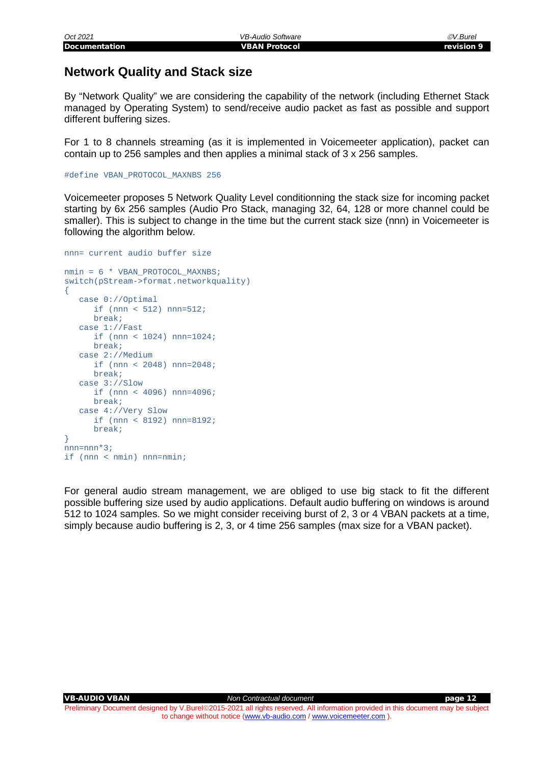#### <span id="page-11-0"></span>**Network Quality and Stack size**

By "Network Quality" we are considering the capability of the network (including Ethernet Stack managed by Operating System) to send/receive audio packet as fast as possible and support different buffering sizes.

For 1 to 8 channels streaming (as it is implemented in Voicemeeter application), packet can contain up to 256 samples and then applies a minimal stack of 3 x 256 samples.

#define VBAN\_PROTOCOL\_MAXNBS 256

Voicemeeter proposes 5 Network Quality Level conditionning the stack size for incoming packet starting by 6x 256 samples (Audio Pro Stack, managing 32, 64, 128 or more channel could be smaller). This is subject to change in the time but the current stack size (nnn) in Voicemeeter is following the algorithm below.

```
nnn= current audio buffer size
nmin = 6 * VBAN_PROTOCOL_MAXNBS;
switch(pStream->format.networkquality)
\{ case 0://Optimal
      if (nnn < 512) nnn=512;
       break;
    case 1://Fast 
       if (nnn < 1024) nnn=1024;
       break;
    case 2://Medium
       if (nnn < 2048) nnn=2048;
      break;
    case 3://Slow
       if (nnn < 4096) nnn=4096;
       break;
    case 4://Very Slow
       if (nnn < 8192) nnn=8192;
       break;
}
nnn=nnn*3;if (nnn < nmin) nnn=nmin;
```
For general audio stream management, we are obliged to use big stack to fit the different possible buffering size used by audio applications. Default audio buffering on windows is around 512 to 1024 samples. So we might consider receiving burst of 2, 3 or 4 VBAN packets at a time, simply because audio buffering is 2, 3, or 4 time 256 samples (max size for a VBAN packet).

VB-AUDIO VBAN *Non Contractual document* page 12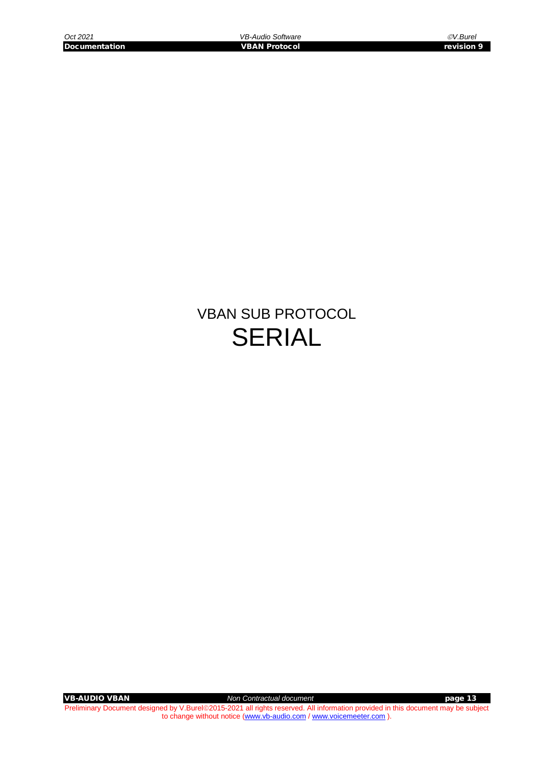## VBAN SUB PROTOCOL SERIAL

**VB-AUDIO VBAN Non Contractual document Non Contractual document page 13**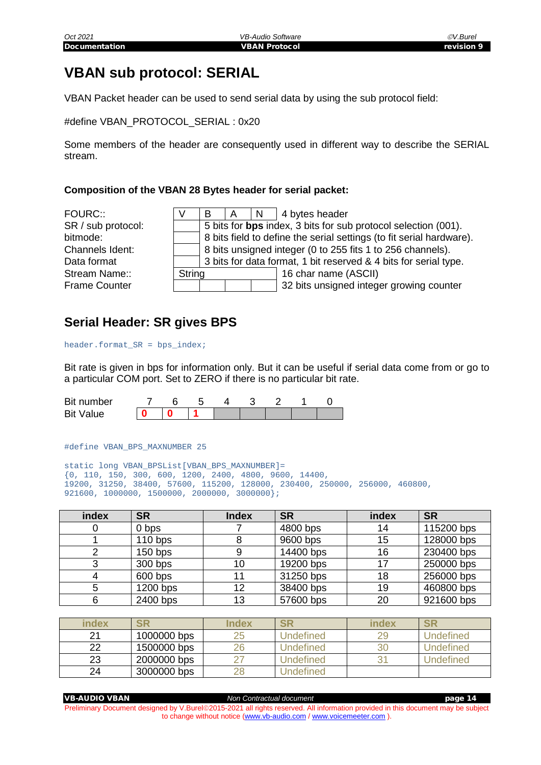## <span id="page-13-0"></span>**VBAN sub protocol: SERIAL**

VBAN Packet header can be used to send serial data by using the sub protocol field:

#define VBAN\_PROTOCOL\_SERIAL : 0x20

Some members of the header are consequently used in different way to describe the SERIAL stream.

#### **Composition of the VBAN 28 Bytes header for serial packet:**

| FOURC::              |        |                                                            | $\overline{A}$                                                       | $\overline{N}$ | 4 bytes header                                                   |  |  |  |  |
|----------------------|--------|------------------------------------------------------------|----------------------------------------------------------------------|----------------|------------------------------------------------------------------|--|--|--|--|
| SR / sub protocol:   |        |                                                            | 5 bits for bps index, 3 bits for sub protocol selection (001).       |                |                                                                  |  |  |  |  |
| bitmode:             |        |                                                            | 8 bits field to define the serial settings (to fit serial hardware). |                |                                                                  |  |  |  |  |
| Channels Ident:      |        | 8 bits unsigned integer (0 to 255 fits 1 to 256 channels). |                                                                      |                |                                                                  |  |  |  |  |
| Data format          |        |                                                            |                                                                      |                | 3 bits for data format, 1 bit reserved & 4 bits for serial type. |  |  |  |  |
| Stream Name::        | String |                                                            |                                                                      |                | 16 char name (ASCII)                                             |  |  |  |  |
| <b>Frame Counter</b> |        |                                                            |                                                                      |                | 32 bits unsigned integer growing counter                         |  |  |  |  |
|                      |        |                                                            |                                                                      |                |                                                                  |  |  |  |  |

#### <span id="page-13-1"></span>**Serial Header: SR gives BPS**

header.format\_SR = bps\_index;

Bit rate is given in bps for information only. But it can be useful if serial data come from or go to a particular COM port. Set to ZERO if there is no particular bit rate.

| Bit number       |  |  |  |  |
|------------------|--|--|--|--|
| <b>Bit Value</b> |  |  |  |  |

#define VBAN\_BPS\_MAXNUMBER 25

```
static long VBAN_BPSList[VBAN_BPS_MAXNUMBER]=
{0, 110, 150, 300, 600, 1200, 2400, 4800, 9600, 14400,
19200, 31250, 38400, 57600, 115200, 128000, 230400, 250000, 256000, 460800,
921600, 1000000, 1500000, 2000000, 3000000};
```

| index | <b>SR</b> | <b>Index</b> | <b>SR</b> | index | <b>SR</b>  |
|-------|-----------|--------------|-----------|-------|------------|
|       | 0 bps     |              | 4800 bps  | 14    | 115200 bps |
|       | $110$ bps |              | 9600 bps  | 15    | 128000 bps |
|       | $150$ bps |              | 14400 bps | 16    | 230400 bps |
|       | 300 bps   | 10           | 19200 bps | 17    | 250000 bps |
|       | 600 bps   |              | 31250 bps | 18    | 256000 bps |
|       | 1200 bps  | 12           | 38400 bps | 19    | 460800 bps |
|       | 2400 bps  | 13           | 57600 bps | 20    | 921600 bps |

| index | <b>SR</b>   | <b>Index</b> | <b>SR</b>        | index | <b>SR</b>        |
|-------|-------------|--------------|------------------|-------|------------------|
| 21    | 1000000 bps |              | <b>Undefined</b> | 29    | <b>Undefined</b> |
| 22    | 1500000 bps |              | Undefined        | 30    | Undefined        |
| 23    | 2000000 bps |              | Undefined        |       | Undefined        |
| 24    | 3000000 bps |              | <b>Jndefined</b> |       |                  |

| <b>VB-AUDIO VBAN</b> | Non Contractual document                                                                                                         | page 14 |
|----------------------|----------------------------------------------------------------------------------------------------------------------------------|---------|
|                      | Preliminary Document designed by V.Burel©2015-2021 all rights reserved. All information provided in this document may be subject |         |
|                      | to change without notice (www.vb-audio.com / www.voicemeeter.com).                                                               |         |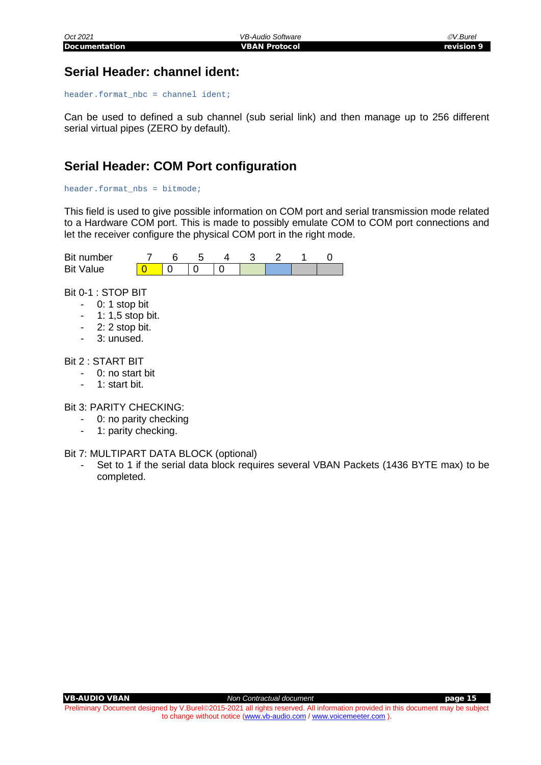### <span id="page-14-0"></span>**Serial Header: channel ident:**

header.format\_nbc = channel ident;

Can be used to defined a sub channel (sub serial link) and then manage up to 256 different serial virtual pipes (ZERO by default).

## <span id="page-14-1"></span>**Serial Header: COM Port configuration**

#### header.format  $nbs = bitmode$ ;

This field is used to give possible information on COM port and serial transmission mode related to a Hardware COM port. This is made to possibly emulate COM to COM port connections and let the receiver configure the physical COM port in the right mode.

| Bit number   |  |  |  |  |
|--------------|--|--|--|--|
| Value<br>Bit |  |  |  |  |

Bit 0-1 : STOP BIT

- 0: 1 stop bit
- 1: 1,5 stop bit.
- 2: 2 stop bit.
- 3: unused.

#### Bit 2 : START BIT

- 0: no start bit
- 1: start bit.

Bit 3: PARITY CHECKING:

- 0: no parity checking
- 1: parity checking.
- Bit 7: MULTIPART DATA BLOCK (optional)
	- Set to 1 if the serial data block requires several VBAN Packets (1436 BYTE max) to be completed.

VB-AUDIO VBAN *Non Contractual document* page 15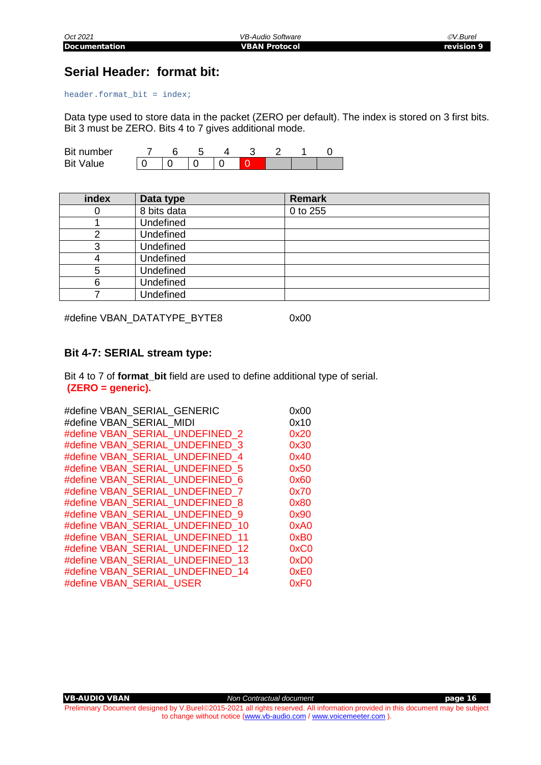## <span id="page-15-0"></span>**Serial Header: format bit:**

header.format\_bit = index;

Data type used to store data in the packet (ZERO per default). The index is stored on 3 first bits. Bit 3 must be ZERO. Bits 4 to 7 gives additional mode.

| Bit number       |  |  |  |  |
|------------------|--|--|--|--|
| <b>Bit Value</b> |  |  |  |  |

| index | Data type        | <b>Remark</b> |
|-------|------------------|---------------|
|       | 8 bits data      | 0 to 255      |
|       | Undefined        |               |
|       | Undefined        |               |
|       | Undefined        |               |
|       | Undefined        |               |
| 5     | Undefined        |               |
| 6     | <b>Undefined</b> |               |
|       | Undefined        |               |

#define VBAN\_DATATYPE\_BYTE8 0x00

#### <span id="page-15-1"></span>**Bit 4-7: SERIAL stream type:**

Bit 4 to 7 of **format** bit field are used to define additional type of serial. **(ZERO = generic).**

|                          | #define VBAN SERIAL GENERIC      | 0x00             |
|--------------------------|----------------------------------|------------------|
| #define VBAN_SERIAL MIDI |                                  | 0x10             |
|                          | #define VBAN SERIAL UNDEFINED 2  | 0x20             |
|                          | #define VBAN SERIAL UNDEFINED 3  | 0x30             |
|                          | #define VBAN SERIAL UNDEFINED 4  | 0x40             |
|                          | #define VBAN SERIAL UNDEFINED 5  | 0x50             |
|                          | #define VBAN SERIAL UNDEFINED 6  | 0x60             |
|                          | #define VBAN SERIAL UNDEFINED 7  | 0x70             |
|                          | #define VBAN_SERIAL_UNDEFINED 8  | 0x80             |
|                          | #define VBAN SERIAL UNDEFINED 9  | 0x90             |
|                          | #define VBAN_SERIAL_UNDEFINED 10 | 0xA0             |
|                          | #define VBAN SERIAL UNDEFINED 11 | 0xB0             |
|                          | #define VBAN SERIAL UNDEFINED 12 | 0xC0             |
|                          | #define VBAN SERIAL UNDEFINED 13 | 0xD <sub>0</sub> |
|                          | #define VBAN SERIAL UNDEFINED 14 | 0xE0             |
| #define VBAN_SERIAL USER |                                  | 0xF0             |
|                          |                                  |                  |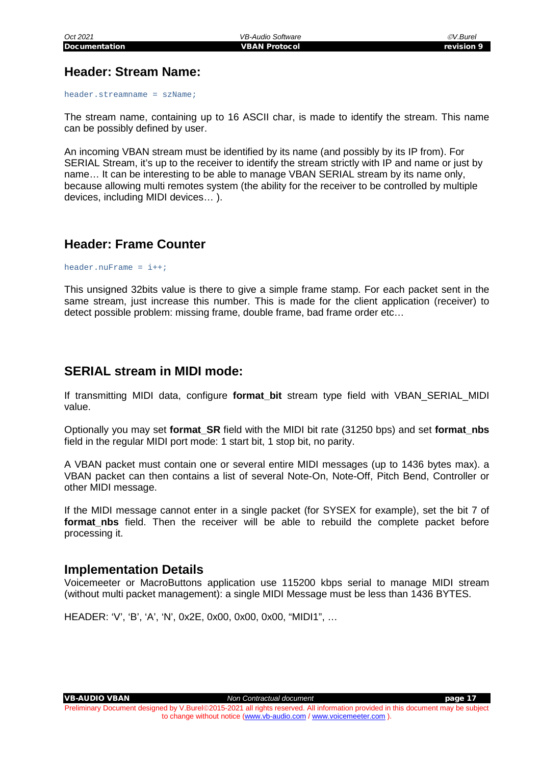### <span id="page-16-0"></span>**Header: Stream Name:**

header.streamname = szName;

The stream name, containing up to 16 ASCII char, is made to identify the stream. This name can be possibly defined by user.

An incoming VBAN stream must be identified by its name (and possibly by its IP from). For SERIAL Stream, it's up to the receiver to identify the stream strictly with IP and name or just by name… It can be interesting to be able to manage VBAN SERIAL stream by its name only, because allowing multi remotes system (the ability for the receiver to be controlled by multiple devices, including MIDI devices… ).

#### <span id="page-16-1"></span>**Header: Frame Counter**

header.nuFrame =  $i++$ ;

This unsigned 32bits value is there to give a simple frame stamp. For each packet sent in the same stream, just increase this number. This is made for the client application (receiver) to detect possible problem: missing frame, double frame, bad frame order etc…

### <span id="page-16-2"></span>**SERIAL stream in MIDI mode:**

If transmitting MIDI data, configure **format\_bit** stream type field with VBAN\_SERIAL\_MIDI value.

Optionally you may set **format\_SR** field with the MIDI bit rate (31250 bps) and set **format\_nbs** field in the regular MIDI port mode: 1 start bit, 1 stop bit, no parity.

A VBAN packet must contain one or several entire MIDI messages (up to 1436 bytes max). a VBAN packet can then contains a list of several Note-On, Note-Off, Pitch Bend, Controller or other MIDI message.

If the MIDI message cannot enter in a single packet (for SYSEX for example), set the bit 7 of format nbs field. Then the receiver will be able to rebuild the complete packet before processing it.

#### <span id="page-16-3"></span>**Implementation Details**

Voicemeeter or MacroButtons application use 115200 kbps serial to manage MIDI stream (without multi packet management): a single MIDI Message must be less than 1436 BYTES.

HEADER: 'V', 'B', 'A', 'N', 0x2E, 0x00, 0x00, 0x00, "MIDI1", …

VB-AUDIO VBAN *Non Contractual document* page 17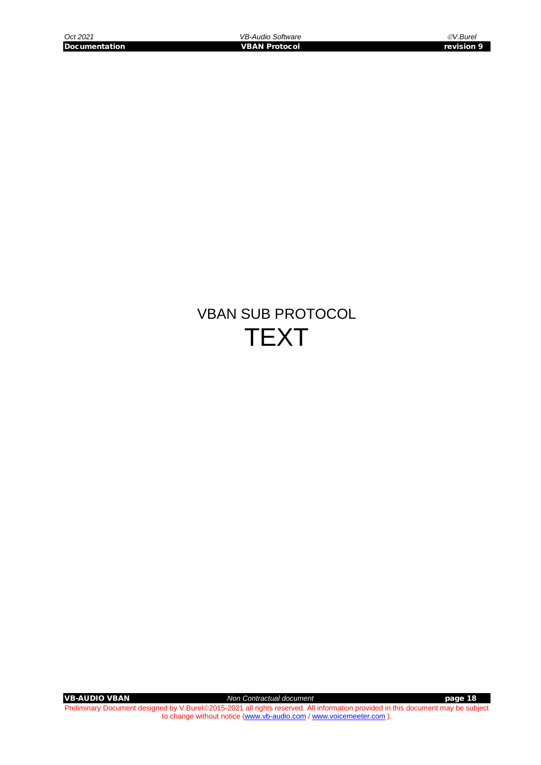## VBAN SUB PROTOCOL **TEXT**

**VB-AUDIO VBAN Non Contractual document Non Contractual document page 18**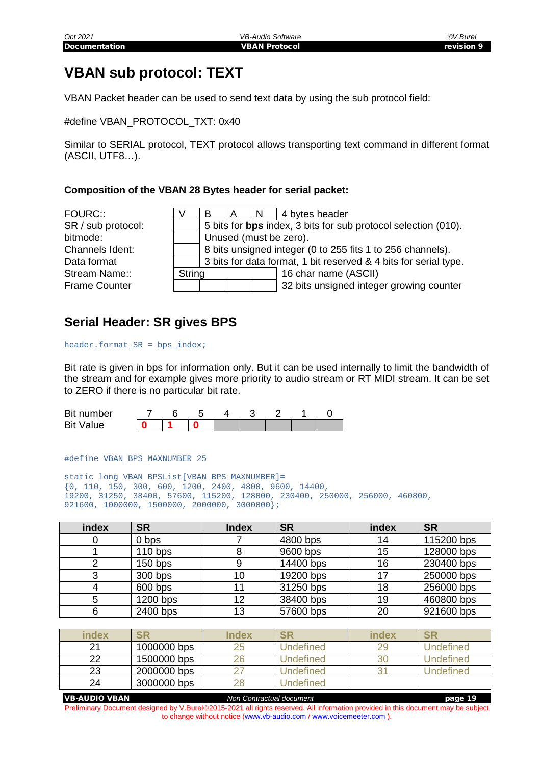## <span id="page-18-0"></span>**VBAN sub protocol: TEXT**

VBAN Packet header can be used to send text data by using the sub protocol field:

#define VBAN\_PROTOCOL\_TXT: 0x40

Similar to SERIAL protocol, TEXT protocol allows transporting text command in different format (ASCII, UTF8…).

#### **Composition of the VBAN 28 Bytes header for serial packet:**

FOURC:: SR / sub protocol: bitmode: Channels Ident: Data format Stream Name:: Frame Counter

|        |                                                                  | A |  | $\vert N \vert$ 4 bytes header                                 |  |  |  |  |  |
|--------|------------------------------------------------------------------|---|--|----------------------------------------------------------------|--|--|--|--|--|
|        |                                                                  |   |  | 5 bits for bps index, 3 bits for sub protocol selection (010). |  |  |  |  |  |
|        | Unused (must be zero).                                           |   |  |                                                                |  |  |  |  |  |
|        | 8 bits unsigned integer (0 to 255 fits 1 to 256 channels).       |   |  |                                                                |  |  |  |  |  |
|        | 3 bits for data format, 1 bit reserved & 4 bits for serial type. |   |  |                                                                |  |  |  |  |  |
| String |                                                                  |   |  | 16 char name (ASCII)                                           |  |  |  |  |  |
|        |                                                                  |   |  | 32 bits unsigned integer growing counter                       |  |  |  |  |  |
|        |                                                                  |   |  |                                                                |  |  |  |  |  |

#### <span id="page-18-1"></span>**Serial Header: SR gives BPS**

header.format\_SR = bps\_index;

Bit rate is given in bps for information only. But it can be used internally to limit the bandwidth of the stream and for example gives more priority to audio stream or RT MIDI stream. It can be set to ZERO if there is no particular bit rate.

| Bit number          |  |  |  |  |
|---------------------|--|--|--|--|
| <b>Bit</b><br>Value |  |  |  |  |

#define VBAN\_BPS\_MAXNUMBER 25

```
static long VBAN_BPSList[VBAN_BPS_MAXNUMBER]=
{0, 110, 150, 300, 600, 1200, 2400, 4800, 9600, 14400,
19200, 31250, 38400, 57600, 115200, 128000, 230400, 250000, 256000, 460800,
921600, 1000000, 1500000, 2000000, 3000000};
```

| index | <b>SR</b> | <b>Index</b> | <b>SR</b> | index | <b>SR</b>  |
|-------|-----------|--------------|-----------|-------|------------|
|       | 0 bps     |              | 4800 bps  | 14    | 115200 bps |
|       | $110$ bps |              | 9600 bps  | 15    | 128000 bps |
|       | $150$ bps |              | 14400 bps | 16    | 230400 bps |
| 3     | 300 bps   | 10           | 19200 bps | 17    | 250000 bps |
|       | 600 bps   |              | 31250 bps | 18    | 256000 bps |
|       | 1200 bps  | 12           | 38400 bps | 19    | 460800 bps |
|       | 2400 bps  | 13           | 57600 bps | 20    | 921600 bps |

| index | <b>SR</b>   | Index |           | index | SR        |
|-------|-------------|-------|-----------|-------|-----------|
| 21    | 1000000 bps | 25    | Undefined | 29    | Undefined |
| 22    | 1500000 bps | 26    | Undefined | 30    | Undefined |
| 23    | 2000000 bps |       | Undefined |       | Undefined |
| 24    | 3000000 bps |       | Undefined |       |           |

VB-AUDIO VBAN *Non Contractual document* page 19 Preliminary Document designed by V.Burel@2015-2021 all rights reserved. All information provided in this document may be subject to change without notice [\(www.vb-audio.com](http://www.vb-audio.com/) [/ www.voicemeeter.com](http://www.voicemeeter.com/) ).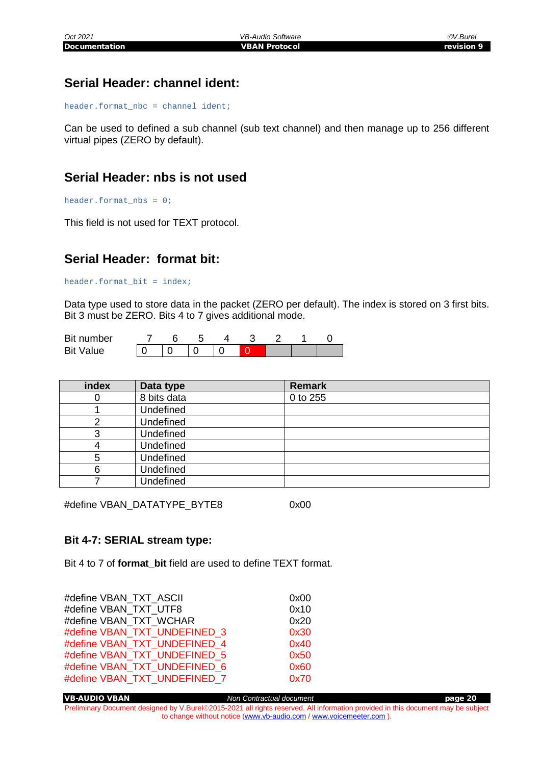## <span id="page-19-0"></span>**Serial Header: channel ident:**

header.format\_nbc = channel ident;

Can be used to defined a sub channel (sub text channel) and then manage up to 256 different virtual pipes (ZERO by default).

#### <span id="page-19-1"></span>**Serial Header: nbs is not used**

header.format\_nbs = 0;

This field is not used for TEXT protocol.

#### <span id="page-19-2"></span>**Serial Header: format bit:**

header.format\_bit = index;

Data type used to store data in the packet (ZERO per default). The index is stored on 3 first bits. Bit 3 must be ZERO. Bits 4 to 7 gives additional mode.

| Bit number          |  |  |  |  |
|---------------------|--|--|--|--|
| Value<br><b>Bit</b> |  |  |  |  |

| index | Data type        | <b>Remark</b> |
|-------|------------------|---------------|
|       | 8 bits data      | 0 to 255      |
|       | Undefined        |               |
|       | Undefined        |               |
|       | Undefined        |               |
|       | Undefined        |               |
| 5     | Undefined        |               |
| 6     | Undefined        |               |
|       | <b>Undefined</b> |               |

#define VBAN\_DATATYPE\_BYTE8 0x00

#### <span id="page-19-3"></span>**Bit 4-7: SERIAL stream type:**

Bit 4 to 7 of **format** bit field are used to define TEXT format.

| #define VBAN TXT ASCII       | 0x00 |
|------------------------------|------|
| #define VBAN TXT UTF8        | 0x10 |
| #define VBAN TXT WCHAR       | 0x20 |
| #define VBAN TXT UNDEFINED 3 | 0x30 |
| #define VBAN TXT UNDEFINED 4 | 0x40 |
| #define VBAN TXT UNDEFINED 5 | 0x50 |
| #define VBAN TXT UNDEFINED 6 | 0x60 |
| #define VBAN TXT UNDEFINED 7 | 0x70 |

VB-AUDIO VBAN *Non Contractual document* page 20 Preliminary Document designed by V.Burel@2015-2021 all rights reserved. All information provided in this document may be subject to change without notice [\(www.vb-audio.com](http://www.vb-audio.com/) [/ www.voicemeeter.com](http://www.voicemeeter.com/) ).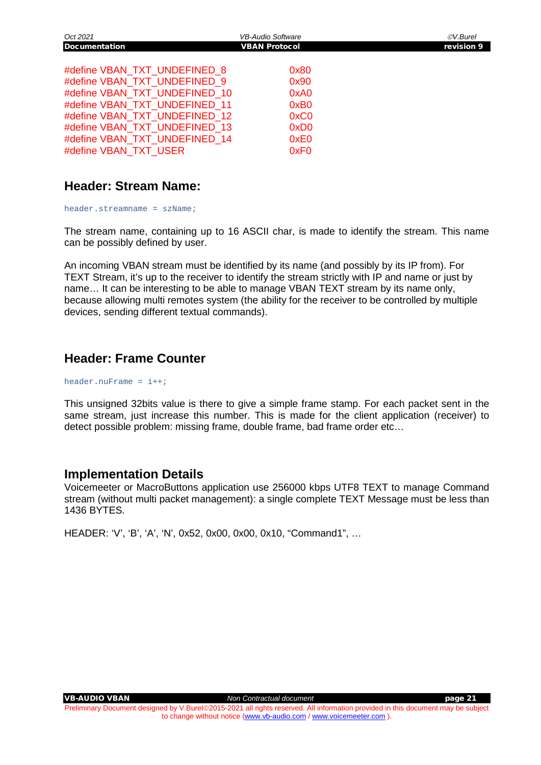| Oct 2021                                                                                                                                                                                                                                                   | <b>VB-Audio Software</b>                                                 | ©V.Burel   |
|------------------------------------------------------------------------------------------------------------------------------------------------------------------------------------------------------------------------------------------------------------|--------------------------------------------------------------------------|------------|
| <b>Documentation</b>                                                                                                                                                                                                                                       | <b>VBAN Protocol</b>                                                     | revision 9 |
| #define VBAN_TXT_UNDEFINED 8<br>#define VBAN_TXT_UNDEFINED 9<br>#define VBAN TXT UNDEFINED 10<br>#define VBAN_TXT_UNDEFINED 11<br>#define VBAN_TXT_UNDEFINED 12<br>#define VBAN_TXT_UNDEFINED 13<br>#define VBAN_TXT_UNDEFINED 14<br>#define VBAN TXT USER | 0x80<br>0x90<br>0xA0<br>0xB0<br>0xC0<br>0xD0<br>0xE0<br>0xF <sub>0</sub> |            |

#### <span id="page-20-0"></span>**Header: Stream Name:**

header.streamname = szName;

The stream name, containing up to 16 ASCII char, is made to identify the stream. This name can be possibly defined by user.

An incoming VBAN stream must be identified by its name (and possibly by its IP from). For TEXT Stream, it's up to the receiver to identify the stream strictly with IP and name or just by name… It can be interesting to be able to manage VBAN TEXT stream by its name only, because allowing multi remotes system (the ability for the receiver to be controlled by multiple devices, sending different textual commands).

#### <span id="page-20-1"></span>**Header: Frame Counter**

header.nuFrame =  $i++i$ 

This unsigned 32bits value is there to give a simple frame stamp. For each packet sent in the same stream, just increase this number. This is made for the client application (receiver) to detect possible problem: missing frame, double frame, bad frame order etc…

#### <span id="page-20-2"></span>**Implementation Details**

Voicemeeter or MacroButtons application use 256000 kbps UTF8 TEXT to manage Command stream (without multi packet management): a single complete TEXT Message must be less than 1436 BYTES.

HEADER: 'V', 'B', 'A', 'N', 0x52, 0x00, 0x00, 0x10, "Command1", …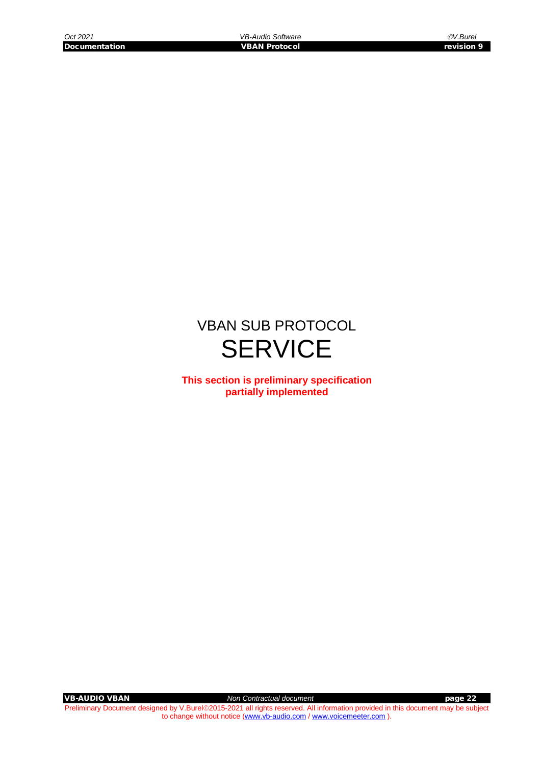## VBAN SUB PROTOCOL **SERVICE**

**This section is preliminary specification partially implemented**

VB-AUDIO VBAN *Non Contractual document* page 22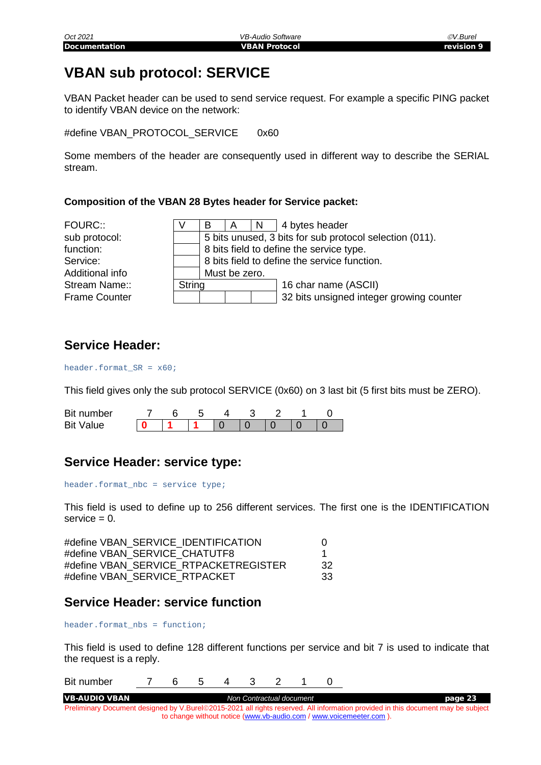## <span id="page-22-0"></span>**VBAN sub protocol: SERVICE**

VBAN Packet header can be used to send service request. For example a specific PING packet to identify VBAN device on the network:

#define VBAN\_PROTOCOL\_SERVICE 0x60

Some members of the header are consequently used in different way to describe the SERIAL stream.

#### **Composition of the VBAN 28 Bytes header for Service packet:**

| FOURC::              |        | в |                                                         | N. | 4 bytes header                           |  |  |  |  |  |
|----------------------|--------|---|---------------------------------------------------------|----|------------------------------------------|--|--|--|--|--|
| sub protocol:        |        |   | 5 bits unused, 3 bits for sub protocol selection (011). |    |                                          |  |  |  |  |  |
| function:            |        |   | 8 bits field to define the service type.                |    |                                          |  |  |  |  |  |
| Service:             |        |   | 8 bits field to define the service function.            |    |                                          |  |  |  |  |  |
| Additional info      |        |   | Must be zero.                                           |    |                                          |  |  |  |  |  |
| Stream Name::        | String |   |                                                         |    | 16 char name (ASCII)                     |  |  |  |  |  |
| <b>Frame Counter</b> |        |   |                                                         |    | 32 bits unsigned integer growing counter |  |  |  |  |  |

#### <span id="page-22-1"></span>**Service Header:**

#### header.format\_SR = x60;

This field gives only the sub protocol SERVICE (0x60) on 3 last bit (5 first bits must be ZERO).

| <b>Bit</b><br>number |  |  |  |  |
|----------------------|--|--|--|--|
| Bit<br>Value         |  |  |  |  |

### <span id="page-22-2"></span>**Service Header: service type:**

header.format  $nbc =$  service type;

This field is used to define up to 256 different services. The first one is the IDENTIFICATION  $s$ ervice =  $0$ .

| #define VBAN SERVICE IDENTIFICATION   |    |
|---------------------------------------|----|
| #define VBAN SERVICE CHATUTF8         |    |
| #define VBAN SERVICE RTPACKETREGISTER | 32 |
| #define VBAN SERVICE RTPACKET         | 33 |

#### <span id="page-22-3"></span>**Service Header: service function**

header.format nbs = function;

This field is used to define 128 different functions per service and bit 7 is used to indicate that the request is a reply.

Bit number 7 6 5 4 3 2 1 0

VB-AUDIO VBAN *Non Contractual document* page 23 Preliminary Document designed by V.Burel@2015-2021 all rights reserved. All information provided in this document may be subject to change without notice [\(www.vb-audio.com](http://www.vb-audio.com/) [/ www.voicemeeter.com](http://www.voicemeeter.com/) ).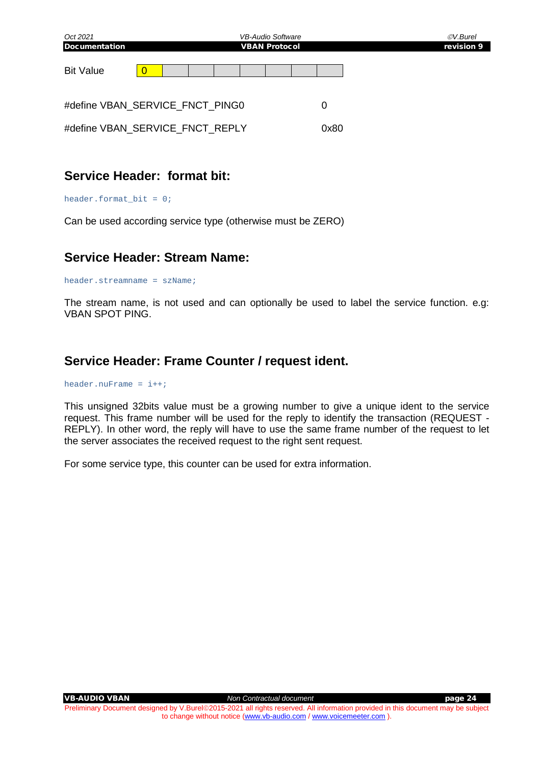| Oct 2021                        |  |  |  | <b>VB-Audio Software</b> |  |      |  |  | ©V.Burel   |  |  |
|---------------------------------|--|--|--|--------------------------|--|------|--|--|------------|--|--|
| <b>Documentation</b>            |  |  |  | <b>VBAN Protocol</b>     |  |      |  |  | revision 9 |  |  |
| <b>Bit Value</b>                |  |  |  |                          |  |      |  |  |            |  |  |
| #define VBAN SERVICE FNCT PING0 |  |  |  |                          |  | 0    |  |  |            |  |  |
| #define VBAN_SERVICE_FNCT_REPLY |  |  |  |                          |  | 0x80 |  |  |            |  |  |

#### <span id="page-23-0"></span>**Service Header: format bit:**

#### header.format  $bit = 0$ ;

Can be used according service type (otherwise must be ZERO)

#### <span id="page-23-1"></span>**Service Header: Stream Name:**

header.streamname = szName;

The stream name, is not used and can optionally be used to label the service function. e.g: VBAN SPOT PING.

#### <span id="page-23-2"></span>**Service Header: Frame Counter / request ident.**

header.nuFrame = i++;

This unsigned 32bits value must be a growing number to give a unique ident to the service request. This frame number will be used for the reply to identify the transaction (REQUEST - REPLY). In other word, the reply will have to use the same frame number of the request to let the server associates the received request to the right sent request.

For some service type, this counter can be used for extra information.

Preliminary Document designed by V.Burel@2015-2021 all rights reserved. All information provided in this document may be subject to change without notice [\(www.vb-audio.com](http://www.vb-audio.com/) [/ www.voicemeeter.com](http://www.voicemeeter.com/) ).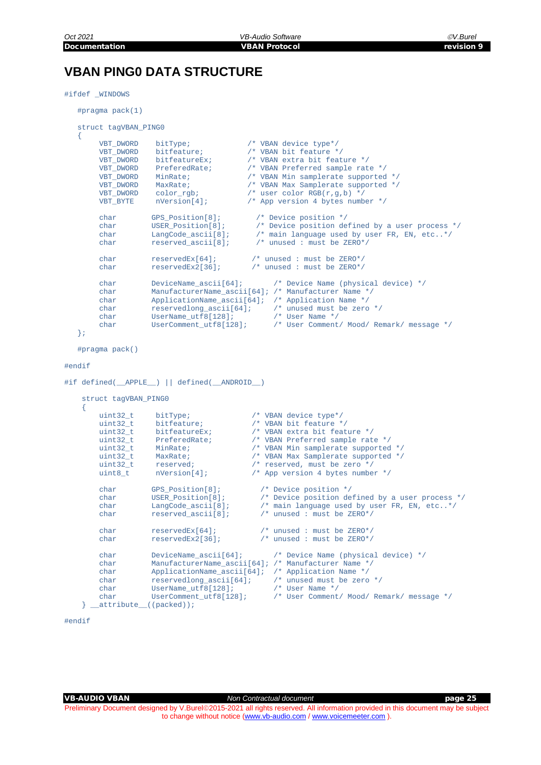## <span id="page-24-0"></span>**VBAN PING0 DATA STRUCTURE**

#### #ifdef \_WINDOWS

{

#pragma pack(1)

```
 struct tagVBAN_PING0
```

```
 VBT_DWORD bitType; /* VBAN device type*/
\begin{tabular}{llllll} \texttt{VBT\_DWORD} & \texttt{bitfeature}; & \texttt{ /* VBAN bit feature */} \\ \texttt{VBT\_DWORD} & \texttt{bitfeatureEx}; & \texttt{ /* VBAN extra bit feat} \\ \end{tabular}VBT_DWORD bitfeatureEx; /* VBAN extra bit feature */<br>VBT DWORD PreferedRate; /* VBAN Preferred sample rat
VBT_DWORD PreferedRate; <br> /* VBAN Preferred sample rate */<br> VBT DWORD MinRate; <br> /* VBAN Min sample<br>rate supported
                                                         /* VBAN Min samplerate supported */
                                                         /* VBAN Max Samplerate supported */<br>/* user color RGB(r,g,b) */
VBT_DWORD MaxRate;<br>
VBT_DWORD color_rgb;<br>
VBT_BYTE nVersion[4];
                                                         /* App version 4 bytes number */
char GPS_Position[8]; /* Device position */<br>char USER Position[8]; /* Device position de
char U = -1 - 1 - 1 (Sexternal space)<br>char USER_Position[8]; /* Device position defined by a user process */<br>char LangCode_ascii[8]; /* main language used by user FR, EN, etc..*/
char LangCode_ascii[8]; /* main language used by user FR, EN, etc..*/<br>char reserved_ascii[8]; /* unused : must be ZERO*/
                                                            \prime* unused : must be ZERO*/
char reservedEx[64]; /* unused : must be ZERO*/<br>char reservedEx2[36]; /* unused : must be ZERO*/
                                                          \prime* unused : must be ZERO*/
char DeviceName_ascii[64]; /* Device Name (physical device) */<br>char ManufacturerName ascii[64]; /* Manufacturer Name */
char ManufacturerName_ascii[64]; /* Manufacturer Name */<br>
char ApplicationName ascii[64]; /* Application Name */
char ApplicationName_ascii[64]; /* Application Name */<br>char reservedlong ascii[64]; /* unused must be zero */
char reservedlong_ascii[64]; /* unused must<br>char UserName_utf8[128]; /* User Name */
char UserName_utf8[128];<br>char UserComment utf8[128];
                                                                    char User Comment/ Mood/ Remark/ message */
```

```
 };
```
#pragma pack()

#### #endif

```
#if defined(__APPLE__) || defined(__ANDROID__)
```

```
 struct tagVBAN_PING0
\sim \sim \sim \simuint32_t bitType; <br>uint32_t bitfeature; <br>/* VBAN bit feature *
           uint32_t bitfeature; /* VBAN bit feature */<br>uint32_t bitfeatureEx; /* VBAN extra bit feat
           uint32_t bitfeatureEx; /* VBAN extra bit feature */<br>uint32_t PreferedRate; /* VBAN Preferred sample rate
           uint32<sub>_t</sub> PreferedRate; \frac{1}{4} VBAN Preferred sample rate */<br>uint32 t MinRate; \frac{1}{4} VBAN Min samplerate supported
           uint32_t MinRate; <br>uint32_t MaxRate; /* VBAN Max Samplerate supported */
           uint32_t MaxRate; /* VBAN Max Samplerate supported */<br>uint32_t reserved; /* reserved, must be zero */<br>uint8_t nVersion[4]; /* App version 4 bytes number */
           uint32_t reserved; /* reserved, must be zero */<br>uint8 t nVersion[4]; /* App version 4 bytes numbe
                                                               /* App version 4 bytes number */
           char GPS_Position[8]; /* Device position */<br>char USER Position[8]; /* Device position de
           char USER_Position[8]; /* Device position defined by a user process */<br>char LangCode_ascii[8]; /* main language used by user FR, EN, etc..*/
 char LangCode_ascii[8]; /* main language used by user FR, EN, etc..*/
 char reserved_ascii[8]; /* unused : must be ZERO*/
           char reservedEx[64]; \frac{1}{2} /* unused : must be ZERO*/<br>char reservedEx2[36]; \frac{1}{2} /* unused : must be ZERO*/
                                                                  4 * unused : must be ZERO*/
           char DeviceName_ascii[64]; /* Device Name (physical device) */<br>char ManufacturerName ascii[64]; /* Manufacturer Name */
           char ManufacturerName_ascii[64]; /* Manufacturer Name */<br>
char ApplicationName ascii[64]; /* Application Name */
           char ApplicationName_ascii[64]; /* Application Name */<br>
char reservedlong_ascii[64]; /* unused must be zero */
           char reservedlong_ascii[64]; /* unused must<br>char UserName_utf8[128]; /* User Name */
           char UserName_utf8[128];<br>char UserComment_utf8[128];
                                                                       /* User Comment/ Mood/ Remark/ message */
     } attribute ((packed));
```

```
#endif
```
Preliminary Document designed by V.Burel@2015-2021 all rights reserved. All information provided in this document may be subject to change without notice [\(www.vb-audio.com](http://www.vb-audio.com/) [/ www.voicemeeter.com](http://www.voicemeeter.com/) ).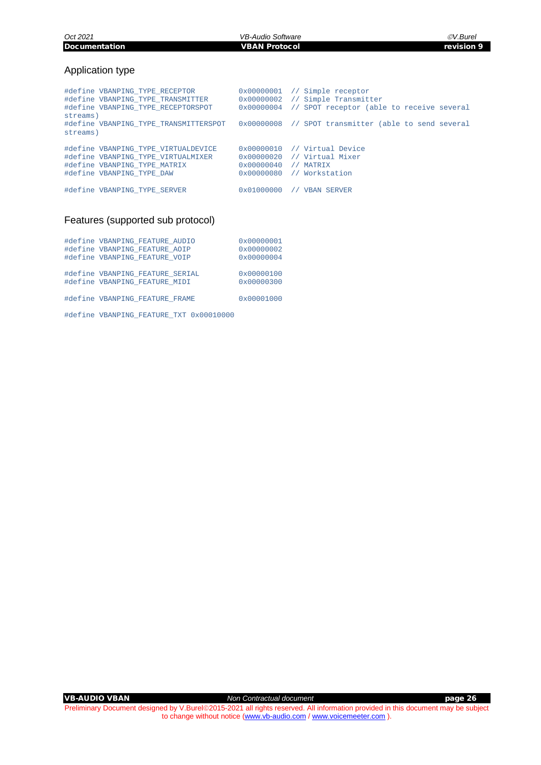*Oct 2021 VB-Audio Software V.Burel*

#### Application type

| streams) | #define VBANPING TYPE RECEPTOR<br>#define VBANPING TYPE TRANSMITTER<br>#define VBANPING TYPE RECEPTORSPOT                              |                                                                   | $0x00000001$ // Simple receptor<br>0x00000002 // Simple Transmitter<br>0x00000004 // SPOT receptor (able to receive several |
|----------|----------------------------------------------------------------------------------------------------------------------------------------|-------------------------------------------------------------------|-----------------------------------------------------------------------------------------------------------------------------|
| streams) | #define VBANPING TYPE TRANSMITTERSPOT                                                                                                  |                                                                   | 0x00000008 // SPOT transmitter (able to send several                                                                        |
|          | #define VBANPING TYPE VIRTUALDEVICE<br>#define VBANPING TYPE VIRTUALMIXER<br>#define VBANPING TYPE MATRIX<br>#define VBANPING TYPE DAW | $0 \times 00000010$<br>$0 \times 00000040$<br>$0 \times 00000080$ | // Virtual Device<br>0x00000020 // Virtual Mixer<br>MATRIX<br>Workstation<br>$\frac{1}{2}$                                  |
|          | #define VBANPING TYPE SERVER                                                                                                           | $0 \times 01000000$                                               | <b>VBAN SERVER</b>                                                                                                          |

#### Features (supported sub protocol)

| #define VBANPING FEATURE AUDIO<br>#define VBANPING FEATURE AOIP  | 0x00000001<br>0x00000002          |
|------------------------------------------------------------------|-----------------------------------|
| #define VBANPING FEATURE VOIP                                    | 0x00000004                        |
| #define VBANPING FEATURE SERIAL<br>#define VBANPING FEATURE MIDI | $0 \times 00000100$<br>0x00000300 |
| #define VBANPING FEATURE FRAME                                   | 0x00001000                        |

#define VBANPING\_FEATURE\_TXT 0x00010000

VB-AUDIO VBAN *Non Contractual document* page 26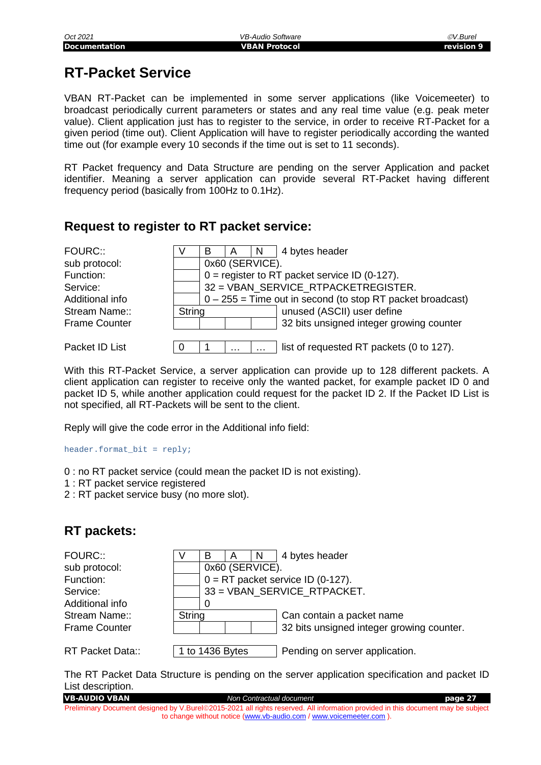## <span id="page-26-0"></span>**RT-Packet Service**

VBAN RT-Packet can be implemented in some server applications (like Voicemeeter) to broadcast periodically current parameters or states and any real time value (e.g. peak meter value). Client application just has to register to the service, in order to receive RT-Packet for a given period (time out). Client Application will have to register periodically according the wanted time out (for example every 10 seconds if the time out is set to 11 seconds).

RT Packet frequency and Data Structure are pending on the server Application and packet identifier. Meaning a server application can provide several RT-Packet having different frequency period (basically from 100Hz to 0.1Hz).

### <span id="page-26-1"></span>**Request to register to RT packet service:**

| FOURC::              |               | В                                                            | $\overline{A}$ | N               | 4 bytes header                           |  |  |
|----------------------|---------------|--------------------------------------------------------------|----------------|-----------------|------------------------------------------|--|--|
| sub protocol:        |               |                                                              |                | 0x60 (SERVICE). |                                          |  |  |
| Function:            |               | $0 =$ register to RT packet service ID (0-127).              |                |                 |                                          |  |  |
| Service:             |               | 32 = VBAN SERVICE RTPACKETREGISTER.                          |                |                 |                                          |  |  |
| Additional info      |               | $0 - 255$ = Time out in second (to stop RT packet broadcast) |                |                 |                                          |  |  |
| Stream Name::        | <b>String</b> |                                                              |                |                 | unused (ASCII) user define               |  |  |
| <b>Frame Counter</b> |               |                                                              |                |                 | 32 bits unsigned integer growing counter |  |  |
|                      |               |                                                              |                |                 |                                          |  |  |
| Packet ID List       |               |                                                              | .              |                 | list of requested RT packets (0 to 127). |  |  |

With this RT-Packet Service, a server application can provide up to 128 different packets. A client application can register to receive only the wanted packet, for example packet ID 0 and packet ID 5, while another application could request for the packet ID 2. If the Packet ID List is not specified, all RT-Packets will be sent to the client.

Reply will give the code error in the Additional info field:

header.format\_bit = reply;

- 0 : no RT packet service (could mean the packet ID is not existing).
- 1 : RT packet service registered
- 2 : RT packet service busy (no more slot).

## <span id="page-26-2"></span>**RT packets:**

| <b>FOURC::</b>          |        | В                                   | A               | <sup>N</sup>              | 4 bytes header                            |
|-------------------------|--------|-------------------------------------|-----------------|---------------------------|-------------------------------------------|
| sub protocol:           |        |                                     | 0x60 (SERVICE). |                           |                                           |
| Function:               |        | $0 = RT$ packet service ID (0-127). |                 |                           |                                           |
| Service:                |        |                                     |                 |                           | 33 = VBAN_SERVICE_RTPACKET.               |
| Additional info         |        | O                                   |                 |                           |                                           |
| Stream Name::           | String |                                     |                 | Can contain a packet name |                                           |
| <b>Frame Counter</b>    |        |                                     |                 |                           | 32 bits unsigned integer growing counter. |
|                         |        |                                     |                 |                           |                                           |
| <b>RT Packet Data::</b> |        | 1 to 1436 Bytes                     |                 |                           | Pending on server application.            |

The RT Packet Data Structure is pending on the server application specification and packet ID List description.

VB-AUDIO VBAN *Non Contractual document* page 27 Preliminary Document designed by V.Burel@2015-2021 all rights reserved. All information provided in this document may be subject to change without notice [\(www.vb-audio.com](http://www.vb-audio.com/) [/ www.voicemeeter.com](http://www.voicemeeter.com/) ).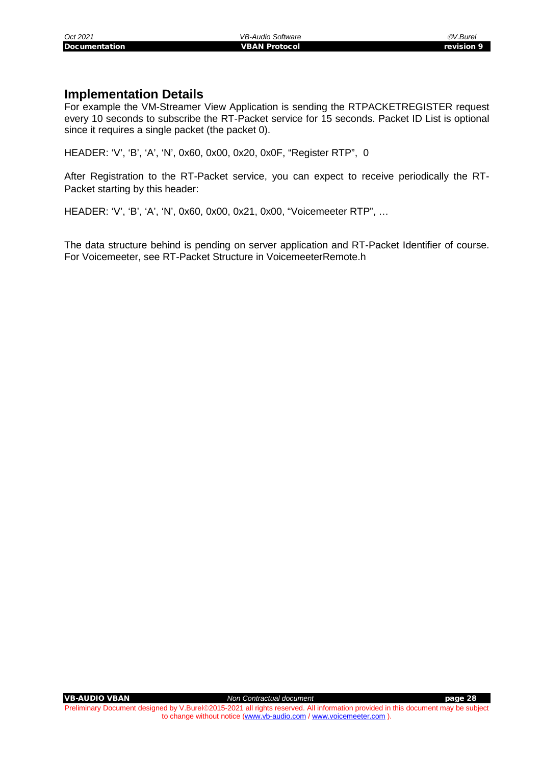#### <span id="page-27-0"></span>**Implementation Details**

For example the VM-Streamer View Application is sending the RTPACKETREGISTER request every 10 seconds to subscribe the RT-Packet service for 15 seconds. Packet ID List is optional since it requires a single packet (the packet 0).

HEADER: 'V', 'B', 'A', 'N', 0x60, 0x00, 0x20, 0x0F, "Register RTP", 0

After Registration to the RT-Packet service, you can expect to receive periodically the RT-Packet starting by this header:

HEADER: 'V', 'B', 'A', 'N', 0x60, 0x00, 0x21, 0x00, "Voicemeeter RTP", …

The data structure behind is pending on server application and RT-Packet Identifier of course. For Voicemeeter, see RT-Packet Structure in VoicemeeterRemote.h

VB-AUDIO VBAN *Non Contractual document* page 28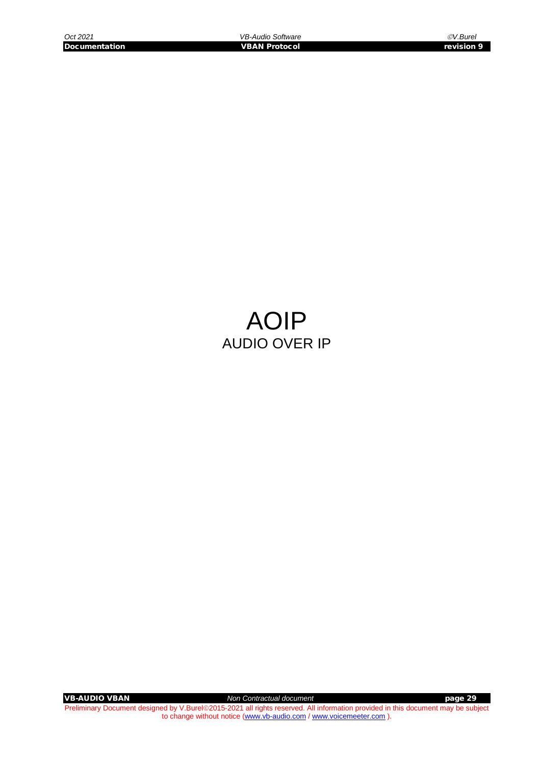## AOIP AUDIO OVER IP

VB-AUDIO VBAN *Non Contractual document* page 29